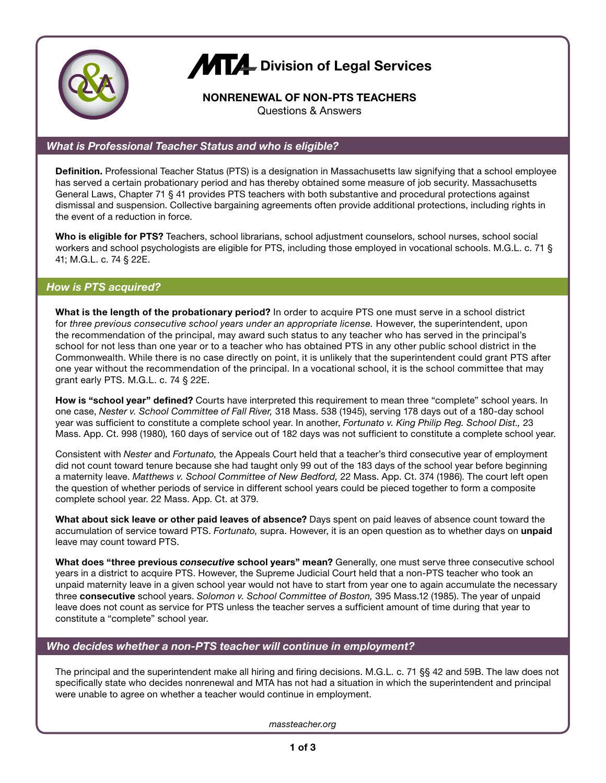

# **ATT** Division of Legal Services

# **NONRENEWAL OF NON-PTS TEACHERS**

Questions & Answers

## *What is Professional Teacher Status and who is eligible?*

**Definition.** Professional Teacher Status (PTS) is a designation in Massachusetts law signifying that a school employee has served a certain probationary period and has thereby obtained some measure of job security. Massachusetts General Laws, Chapter 71 § 41 provides PTS teachers with both substantive and procedural protections against dismissal and suspension. Collective bargaining agreements often provide additional protections, including rights in the event of a reduction in force.

**Who is eligible for PTS?** Teachers, school librarians, school adjustment counselors, school nurses, school social workers and school psychologists are eligible for PTS, including those employed in vocational schools. M.G.L. c. 71 § 41; M.G.L. c. 74 § 22E.

## *How is PTS acquired?*

**What is the length of the probationary period?** In order to acquire PTS one must serve in a school district for *three previous consecutive school years under an appropriate license.* However, the superintendent, upon the recommendation of the principal, may award such status to any teacher who has served in the principal's school for not less than one year or to a teacher who has obtained PTS in any other public school district in the Commonwealth. While there is no case directly on point, it is unlikely that the superintendent could grant PTS after one year without the recommendation of the principal. In a vocational school, it is the school committee that may grant early PTS. M.G.L. c. 74 § 22E.

**How is "school year" defined?** Courts have interpreted this requirement to mean three "complete" school years. In one case, *Nester v. School Committee of Fall River,* 318 Mass. 538 (1945), serving 178 days out of a 180-day school year was sufficient to constitute a complete school year. In another, *Fortunato v. King Philip Reg. School Dist.,* 23 Mass. App. Ct. 998 (1980), 160 days of service out of 182 days was not sufficient to constitute a complete school year.

Consistent with *Nester* and *Fortunato,* the Appeals Court held that a teacher's third consecutive year of employment did not count toward tenure because she had taught only 99 out of the 183 days of the school year before beginning a maternity leave. *Matthews v. School Committee of New Bedford,* 22 Mass. App. Ct. 374 (1986). The court left open the question of whether periods of service in different school years could be pieced together to form a composite complete school year. 22 Mass. App. Ct. at 379.

**What about sick leave or other paid leaves of absence?** Days spent on paid leaves of absence count toward the accumulation of service toward PTS. *Fortunato,* supra. However, it is an open question as to whether days on **unpaid** leave may count toward PTS.

**What does "three previous** *consecutive* **school years" mean?** Generally, one must serve three consecutive school years in a district to acquire PTS. However, the Supreme Judicial Court held that a non-PTS teacher who took an unpaid maternity leave in a given school year would not have to start from year one to again accumulate the necessary three **consecutive** school years. *Solomon v. School Committee of Boston,* 395 Mass.12 (1985). The year of unpaid leave does not count as service for PTS unless the teacher serves a sufficient amount of time during that year to constitute a "complete" school year.

## *Who decides whether a non-PTS teacher will continue in employment?*

The principal and the superintendent make all hiring and firing decisions. M.G.L. c. 71 §§ 42 and 59B. The law does not specifically state who decides nonrenewal and MTA has not had a situation in which the superintendent and principal were unable to agree on whether a teacher would continue in employment.

*massteacher.org*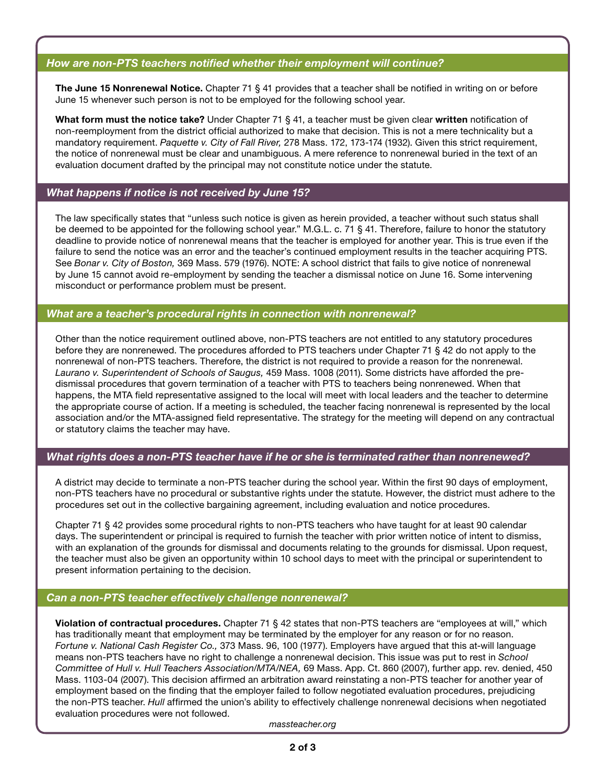## *How are non-PTS teachers notified whether their employment will continue?*

**The June 15 Nonrenewal Notice.** Chapter 71 § 41 provides that a teacher shall be notified in writing on or before June 15 whenever such person is not to be employed for the following school year.

**What form must the notice take?** Under Chapter 71 § 41, a teacher must be given clear **written** notification of non-reemployment from the district official authorized to make that decision. This is not a mere technicality but a mandatory requirement. *Paquette v. City of Fall River,* 278 Mass. 172, 173-174 (1932). Given this strict requirement, the notice of nonrenewal must be clear and unambiguous. A mere reference to nonrenewal buried in the text of an evaluation document drafted by the principal may not constitute notice under the statute.

#### *What happens if notice is not received by June 15?*

The law specifically states that "unless such notice is given as herein provided, a teacher without such status shall be deemed to be appointed for the following school year." M.G.L. c. 71 § 41. Therefore, failure to honor the statutory deadline to provide notice of nonrenewal means that the teacher is employed for another year. This is true even if the failure to send the notice was an error and the teacher's continued employment results in the teacher acquiring PTS. See *Bonar v. City of Boston,* 369 Mass. 579 (1976). NOTE: A school district that fails to give notice of nonrenewal by June 15 cannot avoid re-employment by sending the teacher a dismissal notice on June 16. Some intervening misconduct or performance problem must be present.

#### *What are a teacher's procedural rights in connection with nonrenewal?*

Other than the notice requirement outlined above, non-PTS teachers are not entitled to any statutory procedures before they are nonrenewed. The procedures afforded to PTS teachers under Chapter 71 § 42 do not apply to the nonrenewal of non-PTS teachers. Therefore, the district is not required to provide a reason for the nonrenewal. *Laurano v. Superintendent of Schools of Saugus,* 459 Mass. 1008 (2011). Some districts have afforded the predismissal procedures that govern termination of a teacher with PTS to teachers being nonrenewed. When that happens, the MTA field representative assigned to the local will meet with local leaders and the teacher to determine the appropriate course of action. If a meeting is scheduled, the teacher facing nonrenewal is represented by the local association and/or the MTA-assigned field representative. The strategy for the meeting will depend on any contractual or statutory claims the teacher may have.

#### *What rights does a non-PTS teacher have if he or she is terminated rather than nonrenewed?*

A district may decide to terminate a non-PTS teacher during the school year. Within the first 90 days of employment, non-PTS teachers have no procedural or substantive rights under the statute. However, the district must adhere to the procedures set out in the collective bargaining agreement, including evaluation and notice procedures.

Chapter 71 § 42 provides some procedural rights to non-PTS teachers who have taught for at least 90 calendar days. The superintendent or principal is required to furnish the teacher with prior written notice of intent to dismiss, with an explanation of the grounds for dismissal and documents relating to the grounds for dismissal. Upon request, the teacher must also be given an opportunity within 10 school days to meet with the principal or superintendent to present information pertaining to the decision.

## *Can a non-PTS teacher effectively challenge nonrenewal?*

**Violation of contractual procedures.** Chapter 71 § 42 states that non-PTS teachers are "employees at will," which has traditionally meant that employment may be terminated by the employer for any reason or for no reason. *Fortune v. National Cash Register Co.,* 373 Mass. 96, 100 (1977). Employers have argued that this at-will language means non-PTS teachers have no right to challenge a nonrenewal decision. This issue was put to rest in *School Committee of Hull v. Hull Teachers Association/MTA/NEA,* 69 Mass. App. Ct. 860 (2007), further app. rev. denied, 450 Mass. 1103-04 (2007). This decision affirmed an arbitration award reinstating a non-PTS teacher for another year of employment based on the finding that the employer failed to follow negotiated evaluation procedures, prejudicing the non-PTS teacher. *Hull* affirmed the union's ability to effectively challenge nonrenewal decisions when negotiated evaluation procedures were not followed.

*massteacher.org*